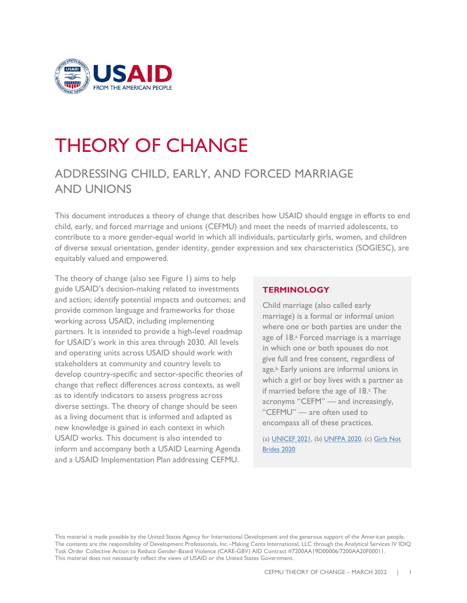

# THEORY OF CHANGE

# ADDRESSING CHILD, EARLY, AND FORCED MARRIAGE AND UNIONS

This document introduces a theory of change that describes how USAID should engage in efforts to end child, early, and forced marriage and unions (CEFMU) and meet the needs of married adolescents, to contribute to a more gender-equal world in which all individuals, particularly girls, women, and children of diverse sexual orientation, gender identity, gender expression and sex characteristics (SOGIESC), are equitably valued and empowered.

The theory of change (also see Figure 1) aims to help guide USAID's decision-making related to investments and action; identify potential impacts and outcomes; and provide common language and frameworks for those working across USAID, including implementing partners. It is intended to provide a high-level roadmap for USAID's work in this area through 2030. All levels and operating units across USAID should work with stakeholders at community and country levels to develop country-specific and sector-specific theories of change that reflect differences across contexts, as well as to identify indicators to assess progress across diverse settings. The theory of change should be seen as a living document that is informed and adapted as new knowledge is gained in each context in which USAID works. This document is also intended to inform and accompany both a USAID Learning Agenda and a USAID Implementation Plan addressing CEFMU.

#### **TERMINOLOGY**

Child marriage (also called early marriage) is a formal or informal union where one or both parties are under the age of 18.<sup>a</sup> Forced marriage is a marriage in which one or both spouses do not give full and free consent, regardless of age.<sup>b</sup> Early unions are informal unions in which a girl or boy lives with a partner as if married before the age of  $18.$  The acronyms "CEFM" — and increasingly, "CEFMU" — are often used to encompass all of these practices.

(a) [UNICEF 2021,](https://www.unicef.org/protection/child-marriage) (b[\) UNFPA 2020,](https://www.unfpa.org/child-marriage-frequently-asked-questions#what%20is%20the%20difference%20between%20child%20marriage,%20early%20marriage%20and%20forced%20marriage) (c[\) Girls Not](https://www.girlsnotbrides.es/documents/947/Child-early-and-forced-marriages-and-unions-in-LAC.pdf)  [Brides 2020](https://www.girlsnotbrides.es/documents/947/Child-early-and-forced-marriages-and-unions-in-LAC.pdf)

This material is made possible by the United States Agency for International Development and the generous support of the American people. The contents are the responsibility of Development Professionals, Inc.–Making Cents International, LLC through the Analytical Services IV IDIQ Task Order Collective Action to Reduce Gender-Based Violence (CARE-GBV) AID Contract #7200AA19D00006/7200AA20F00011. This material does not necessarily reflect the views of USAID or the United States Government.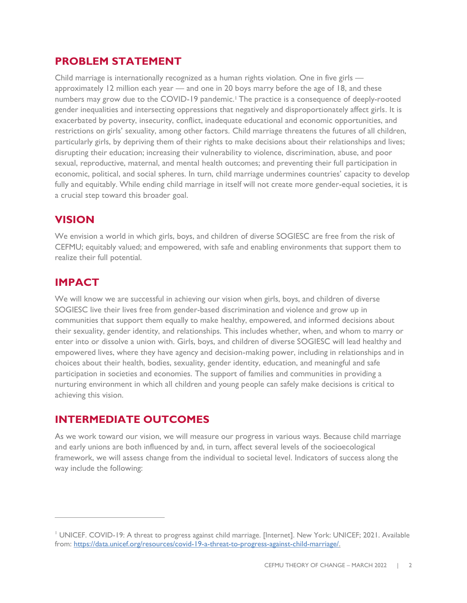## **PROBLEM STATEMENT**

Child marriage is internationally recognized as a human rights violation. One in five girls approximately 12 million each year — and one in 20 boys marry before the age of 18, and these numbers may grow due to the COVID-19 pandemic.<sup>1</sup> The practice is a consequence of deeply-rooted gender inequalities and intersecting oppressions that negatively and disproportionately affect girls. It is exacerbated by poverty, insecurity, conflict, inadequate educational and economic opportunities, and restrictions on girls' sexuality, among other factors. Child marriage threatens the futures of all children, particularly girls, by depriving them of their rights to make decisions about their relationships and lives; disrupting their education; increasing their vulnerability to violence, discrimination, abuse, and poor sexual, reproductive, maternal, and mental health outcomes; and preventing their full participation in economic, political, and social spheres. In turn, child marriage undermines countries' capacity to develop fully and equitably. While ending child marriage in itself will not create more gender-equal societies, it is a crucial step toward this broader goal.

# **VISION**

We envision a world in which girls, boys, and children of diverse SOGIESC are free from the risk of CEFMU; equitably valued; and empowered, with safe and enabling environments that support them to realize their full potential.

## **IMPACT**

We will know we are successful in achieving our vision when girls, boys, and children of diverse SOGIESC live their lives free from gender-based discrimination and violence and grow up in communities that support them equally to make healthy, empowered, and informed decisions about their sexuality, gender identity, and relationships. This includes whether, when, and whom to marry or enter into or dissolve a union with. Girls, boys, and children of diverse SOGIESC will lead healthy and empowered lives, where they have agency and decision-making power, including in relationships and in choices about their health, bodies, sexuality, gender identity, education, and meaningful and safe participation in societies and economies. The support of families and communities in providing a nurturing environment in which all children and young people can safely make decisions is critical to achieving this vision.

## **INTERMEDIATE OUTCOMES**

As we work toward our vision, we will measure our progress in various ways. Because child marriage and early unions are both influenced by and, in turn, affect several levels of the socioecological framework, we will assess change from the individual to societal level. Indicators of success along the way include the following:

<sup>1</sup> UNICEF. COVID-19: A threat to progress against child marriage. [Internet]. New York: UNICEF; 2021. Available from: [https://data.unicef.org/resources/covid-19-a-threat-to-progress-against-child-marriage/.](https://data.unicef.org/resources/covid-19-a-threat-to-progress-against-child-marriage/)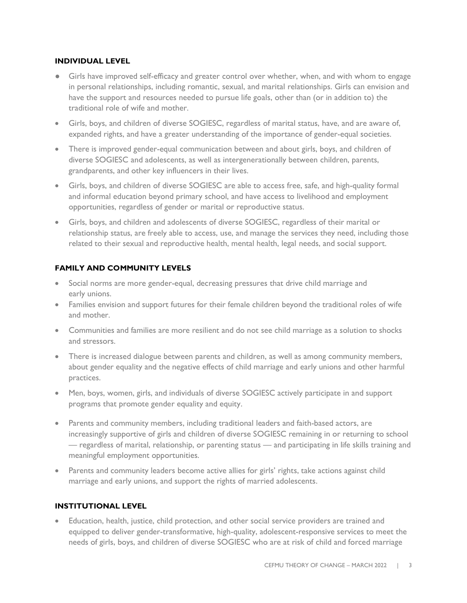#### **INDIVIDUAL LEVEL**

- Girls have improved self-efficacy and greater control over whether, when, and with whom to engage in personal relationships, including romantic, sexual, and marital relationships. Girls can envision and have the support and resources needed to pursue life goals, other than (or in addition to) the traditional role of wife and mother.
- Girls, boys, and children of diverse SOGIESC, regardless of marital status, have, and are aware of, expanded rights, and have a greater understanding of the importance of gender-equal societies.
- There is improved gender-equal communication between and about girls, boys, and children of diverse SOGIESC and adolescents, as well as intergenerationally between children, parents, grandparents, and other key influencers in their lives.
- Girls, boys, and children of diverse SOGIESC are able to access free, safe, and high-quality formal and informal education beyond primary school, and have access to livelihood and employment opportunities, regardless of gender or marital or reproductive status.
- Girls, boys, and children and adolescents of diverse SOGIESC, regardless of their marital or relationship status, are freely able to access, use, and manage the services they need, including those related to their sexual and reproductive health, mental health, legal needs, and social support.

#### **FAMILY AND COMMUNITY LEVELS**

- Social norms are more gender-equal, decreasing pressures that drive child marriage and early unions.
- Families envision and support futures for their female children beyond the traditional roles of wife and mother.
- Communities and families are more resilient and do not see child marriage as a solution to shocks and stressors.
- There is increased dialogue between parents and children, as well as among community members, about gender equality and the negative effects of child marriage and early unions and other harmful practices.
- Men, boys, women, girls, and individuals of diverse SOGIESC actively participate in and support programs that promote gender equality and equity.
- Parents and community members, including traditional leaders and faith-based actors, are increasingly supportive of girls and children of diverse SOGIESC remaining in or returning to school — regardless of marital, relationship, or parenting status — and participating in life skills training and meaningful employment opportunities.
- Parents and community leaders become active allies for girls' rights, take actions against child marriage and early unions, and support the rights of married adolescents.

#### **INSTITUTIONAL LEVEL**

• Education, health, justice, child protection, and other social service providers are trained and equipped to deliver gender-transformative, high-quality, adolescent-responsive services to meet the needs of girls, boys, and children of diverse SOGIESC who are at risk of child and forced marriage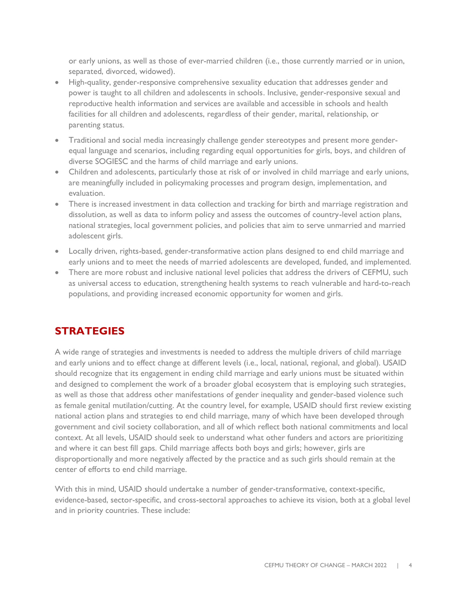or early unions, as well as those of ever-married children (i.e., those currently married or in union, separated, divorced, widowed).

- High-quality, gender-responsive comprehensive sexuality education that addresses gender and power is taught to all children and adolescents in schools. Inclusive, gender-responsive sexual and reproductive health information and services are available and accessible in schools and health facilities for all children and adolescents, regardless of their gender, marital, relationship, or parenting status.
- Traditional and social media increasingly challenge gender stereotypes and present more genderequal language and scenarios, including regarding equal opportunities for girls, boys, and children of diverse SOGIESC and the harms of child marriage and early unions.
- Children and adolescents, particularly those at risk of or involved in child marriage and early unions, are meaningfully included in policymaking processes and program design, implementation, and evaluation.
- There is increased investment in data collection and tracking for birth and marriage registration and dissolution, as well as data to inform policy and assess the outcomes of country-level action plans, national strategies, local government policies, and policies that aim to serve unmarried and married adolescent girls.
- Locally driven, rights-based, gender-transformative action plans designed to end child marriage and early unions and to meet the needs of married adolescents are developed, funded, and implemented.
- There are more robust and inclusive national level policies that address the drivers of CEFMU, such as universal access to education, strengthening health systems to reach vulnerable and hard-to-reach populations, and providing increased economic opportunity for women and girls.

# **STRATEGIES**

A wide range of strategies and investments is needed to address the multiple drivers of child marriage and early unions and to effect change at different levels (i.e., local, national, regional, and global). USAID should recognize that its engagement in ending child marriage and early unions must be situated within and designed to complement the work of a broader global ecosystem that is employing such strategies, as well as those that address other manifestations of gender inequality and gender-based violence such as female genital mutilation/cutting. At the country level, for example, USAID should first review existing national action plans and strategies to end child marriage, many of which have been developed through government and civil society collaboration, and all of which reflect both national commitments and local context. At all levels, USAID should seek to understand what other funders and actors are prioritizing and where it can best fill gaps. Child marriage affects both boys and girls; however, girls are disproportionally and more negatively affected by the practice and as such girls should remain at the center of efforts to end child marriage.

With this in mind, USAID should undertake a number of gender-transformative, context-specific, evidence-based, sector-specific, and cross-sectoral approaches to achieve its vision, both at a global level and in priority countries. These include: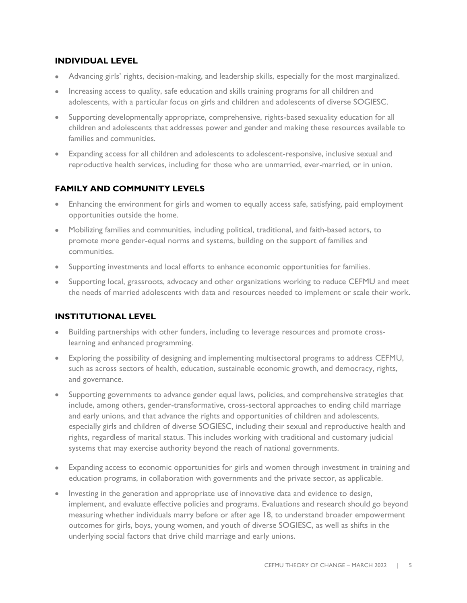#### **INDIVIDUAL LEVEL**

- Advancing girls' rights, decision-making, and leadership skills, especially for the most marginalized.
- Increasing access to quality, safe education and skills training programs for all children and adolescents, with a particular focus on girls and children and adolescents of diverse SOGIESC.
- Supporting developmentally appropriate, comprehensive, rights-based sexuality education for all children and adolescents that addresses power and gender and making these resources available to families and communities.
- Expanding access for all children and adolescents to adolescent-responsive, inclusive sexual and reproductive health services, including for those who are unmarried, ever-married, or in union.

## **FAMILY AND COMMUNITY LEVELS**

- Enhancing the environment for girls and women to equally access safe, satisfying, paid employment opportunities outside the home.
- Mobilizing families and communities, including political, traditional, and faith-based actors, to promote more gender-equal norms and systems, building on the support of families and communities.
- Supporting investments and local efforts to enhance economic opportunities for families.
- Supporting local, grassroots, advocacy and other organizations working to reduce CEFMU and meet the needs of married adolescents with data and resources needed to implement or scale their work.

#### **INSTITUTIONAL LEVEL**

- Building partnerships with other funders, including to leverage resources and promote crosslearning and enhanced programming.
- Exploring the possibility of designing and implementing multisectoral programs to address CEFMU, such as across sectors of health, education, sustainable economic growth, and democracy, rights, and governance.
- Supporting governments to advance gender equal laws, policies, and comprehensive strategies that include, among others, gender-transformative, cross-sectoral approaches to ending child marriage and early unions, and that advance the rights and opportunities of children and adolescents, especially girls and children of diverse SOGIESC, including their sexual and reproductive health and rights, regardless of marital status. This includes working with traditional and customary judicial systems that may exercise authority beyond the reach of national governments.
- Expanding access to economic opportunities for girls and women through investment in training and education programs, in collaboration with governments and the private sector, as applicable.
- Investing in the generation and appropriate use of innovative data and evidence to design, implement, and evaluate effective policies and programs. Evaluations and research should go beyond measuring whether individuals marry before or after age 18, to understand broader empowerment outcomes for girls, boys, young women, and youth of diverse SOGIESC, as well as shifts in the underlying social factors that drive child marriage and early unions.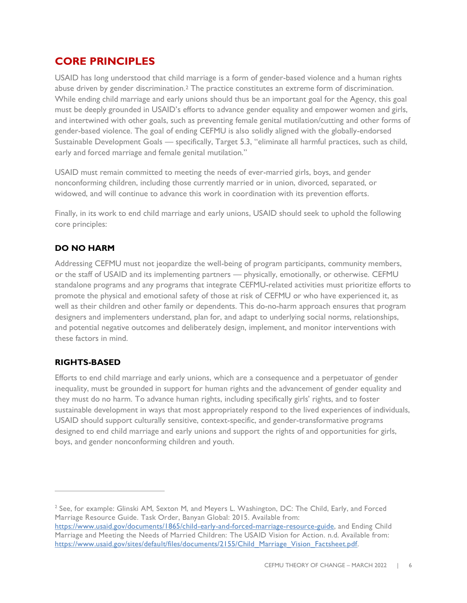## **CORE PRINCIPLES**

USAID has long understood that child marriage is a form of gender-based violence and a human rights abuse driven by gender discrimination.<sup>2</sup> The practice constitutes an extreme form of discrimination. While ending child marriage and early unions should thus be an important goal for the Agency, this goal must be deeply grounded in USAID's efforts to advance gender equality and empower women and girls, and intertwined with other goals, such as preventing female genital mutilation/cutting and other forms of gender-based violence. The goal of ending CEFMU is also solidly aligned with the globally-endorsed Sustainable Development Goals — specifically, Target 5.3, "eliminate all harmful practices, such as child, early and forced marriage and female genital mutilation."

USAID must remain committed to meeting the needs of ever-married girls, boys, and gender nonconforming children, including those currently married or in union, divorced, separated, or widowed, and will continue to advance this work in coordination with its prevention efforts.

Finally, in its work to end child marriage and early unions, USAID should seek to uphold the following core principles:

## **DO NO HARM**

Addressing CEFMU must not jeopardize the well-being of program participants, community members, or the staff of USAID and its implementing partners — physically, emotionally, or otherwise. CEFMU standalone programs and any programs that integrate CEFMU-related activities must prioritize efforts to promote the physical and emotional safety of those at risk of CEFMU or who have experienced it, as well as their children and other family or dependents. This do-no-harm approach ensures that program designers and implementers understand, plan for, and adapt to underlying social norms, relationships, and potential negative outcomes and deliberately design, implement, and monitor interventions with these factors in mind.

#### **RIGHTS-BASED**

Efforts to end child marriage and early unions, which are a consequence and a perpetuator of gender inequality, must be grounded in support for human rights and the advancement of gender equality and they must do no harm. To advance human rights, including specifically girls' rights, and to foster sustainable development in ways that most appropriately respond to the lived experiences of individuals, USAID should support culturally sensitive, context-specific, and gender-transformative programs designed to end child marriage and early unions and support the rights of and opportunities for girls, boys, and gender nonconforming children and youth.

 $^2$  See, for example: Glinski AM, Sexton M, and Meyers L. Washington, DC: The Child, Early, and Forced Marriage Resource Guide. Task Order, Banyan Global: 2015. Available from:

[https://www.usaid.gov/documents/1865/child-early-and-forced-marriage-resource-guide,](https://www.usaid.gov/documents/1865/child-early-and-forced-marriage-resource-guide) and Ending Child Marriage and Meeting the Needs of Married Children: The USAID Vision for Action. n.d. Available from: [https://www.usaid.gov/sites/default/files/documents/2155/Child\\_Marriage\\_Vision\\_Factsheet.pdf.](https://www.usaid.gov/sites/default/files/documents/2155/Child_Marriage_Vision_Factsheet.pdf)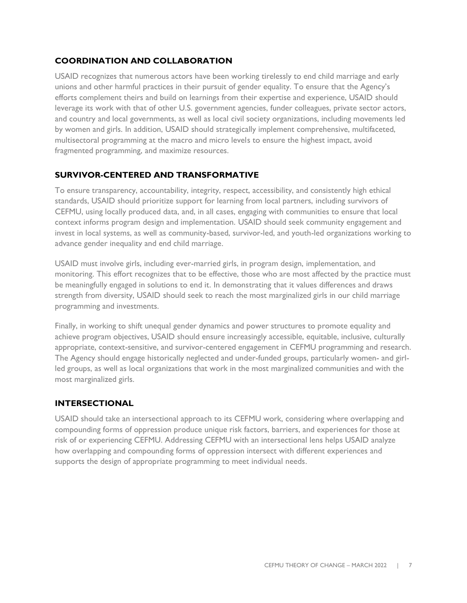## **COORDINATION AND COLLABORATION**

USAID recognizes that numerous actors have been working tirelessly to end child marriage and early unions and other harmful practices in their pursuit of gender equality. To ensure that the Agency's efforts complement theirs and build on learnings from their expertise and experience, USAID should leverage its work with that of other U.S. government agencies, funder colleagues, private sector actors, and country and local governments, as well as local civil society organizations, including movements led by women and girls. In addition, USAID should strategically implement comprehensive, multifaceted, multisectoral programming at the macro and micro levels to ensure the highest impact, avoid fragmented programming, and maximize resources.

#### **SURVIVOR-CENTERED AND TRANSFORMATIVE**

To ensure transparency, accountability, integrity, respect, accessibility, and consistently high ethical standards, USAID should prioritize support for learning from local partners, including survivors of CEFMU, using locally produced data, and, in all cases, engaging with communities to ensure that local context informs program design and implementation. USAID should seek community engagement and invest in local systems, as well as community-based, survivor-led, and youth-led organizations working to advance gender inequality and end child marriage.

USAID must involve girls, including ever-married girls, in program design, implementation, and monitoring. This effort recognizes that to be effective, those who are most affected by the practice must be meaningfully engaged in solutions to end it. In demonstrating that it values differences and draws strength from diversity, USAID should seek to reach the most marginalized girls in our child marriage programming and investments.

Finally, in working to shift unequal gender dynamics and power structures to promote equality and achieve program objectives, USAID should ensure increasingly accessible, equitable, inclusive, culturally appropriate, context-sensitive, and survivor-centered engagement in CEFMU programming and research. The Agency should engage historically neglected and under-funded groups, particularly women- and girlled groups, as well as local organizations that work in the most marginalized communities and with the most marginalized girls.

#### **INTERSECTIONAL**

USAID should take an intersectional approach to its CEFMU work, considering where overlapping and compounding forms of oppression produce unique risk factors, barriers, and experiences for those at risk of or experiencing CEFMU. Addressing CEFMU with an intersectional lens helps USAID analyze how overlapping and compounding forms of oppression intersect with different experiences and supports the design of appropriate programming to meet individual needs.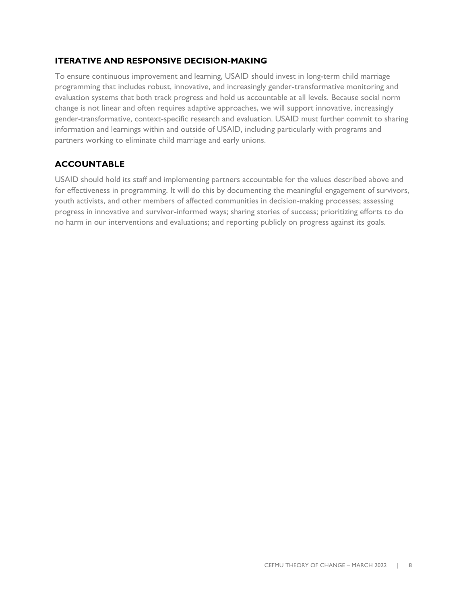#### **ITERATIVE AND RESPONSIVE DECISION-MAKING**

To ensure continuous improvement and learning, USAID should invest in long-term child marriage programming that includes robust, innovative, and increasingly gender-transformative monitoring and evaluation systems that both track progress and hold us accountable at all levels. Because social norm change is not linear and often requires adaptive approaches, we will support innovative, increasingly gender-transformative, context-specific research and evaluation. USAID must further commit to sharing information and learnings within and outside of USAID, including particularly with programs and partners working to eliminate child marriage and early unions.

## **ACCOUNTABLE**

USAID should hold its staff and implementing partners accountable for the values described above and for effectiveness in programming. It will do this by documenting the meaningful engagement of survivors, youth activists, and other members of affected communities in decision-making processes; assessing progress in innovative and survivor-informed ways; sharing stories of success; prioritizing efforts to do no harm in our interventions and evaluations; and reporting publicly on progress against its goals.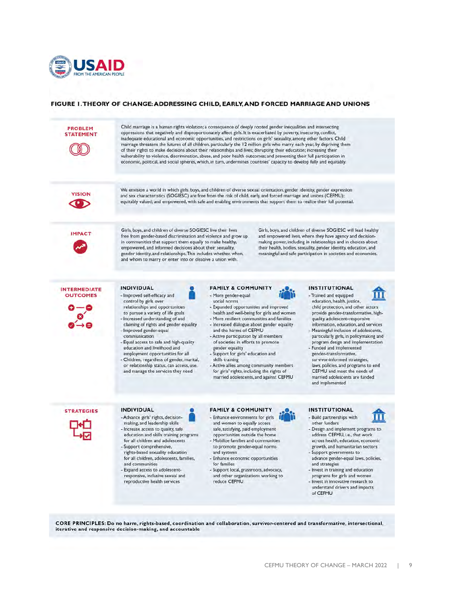

#### FIGURE 1. THEORY OF CHANGE: ADDRESSING CHILD, EARLY, AND FORCED MARRIAGE AND UNIONS



CORE PRINCIPLES: Do no harm, rights-based, coordination and collaboration, survivor-centered and transformative, intersectional, iterative and responsive decision-making, and accountable